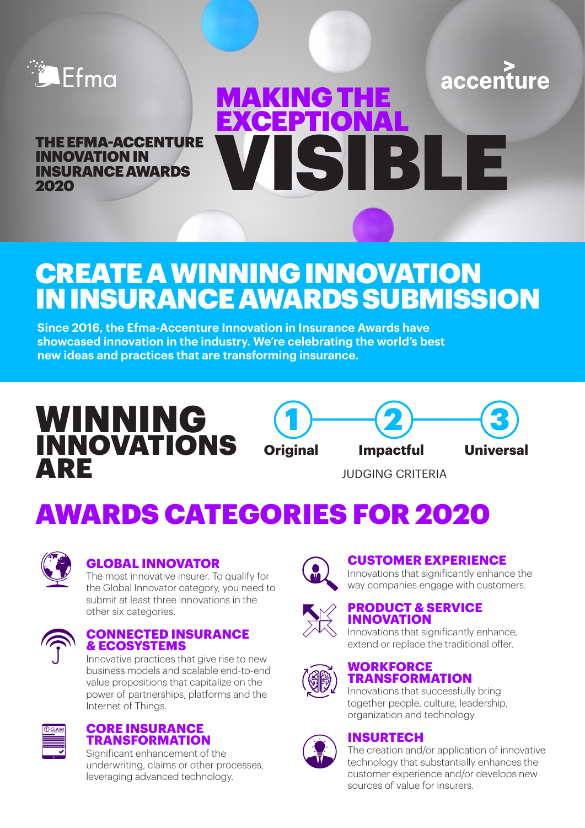

accenture

INNOVATION IN INSURANCE AWARDS 2020



# CREATE A WINNING INNOVATION IN INSURANCE AWARDS SUBMISSION

**Since 2016, the Efma-Accenture Innovation in Insurance Awards have showcased innovation in the industry. We're celebrating the world's best new ideas and practices that are transforming insurance.** 

# WINNING **INNOVATIONS** ARE





JUDGING CRITERIA

# AWARDS CATEGORIES FOR 2020



#### **GLOBAL INNOVATOR**

The most innovative insurer. To qualify for the Global Innovator category, you need to submit at least three innovations in the other six categories.



#### **CONNECTED INSURANCE & ECOSYSTEMS**

Innovative practices that give rise to new business models and scalable end-to-end value propositions that capitalize on the power of partnerships, platforms and the Internet of Things.



#### **CORE INSURANCE TRANSFORMATION**

Significant enhancement of the underwriting, claims or other processes, leveraging advanced technology.



#### **CUSTOMER EXPERIENCE**

Innovations that significantly enhance the way companies engage with customers.



#### **PRODUCT & SERVICE INNOVATION**

Innovations that significantly enhance, extend or replace the traditional offer.



#### **WORKFORCE TRANSFORMATION**

Innovations that successfully bring together people, culture, leadership, organization and technology.



#### **INSURTECH**

The creation and/or application of innovative technology that substantially enhances the customer experience and/or develops new sources of value for insurers.